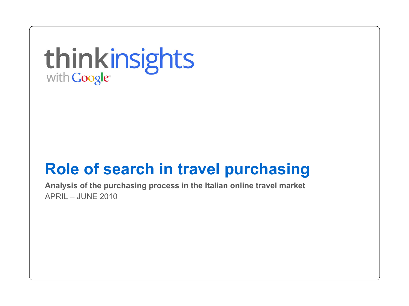thinkinsights

# **Role of search in travel purchasing**

**Analysis of the purchasing process in the Italian online travel market**  APRIL – JUNE 2010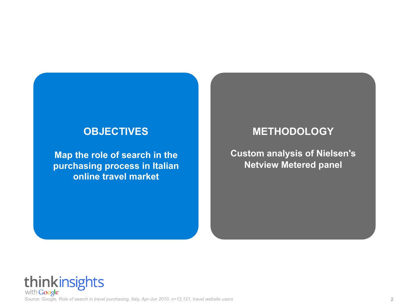## **OBJECTIVES**

**Map the role of search in the purchasing process in Italian online travel market** 

## **METHODOLOGY**

**Custom analysis of Nielsen's Netview Metered panel** 

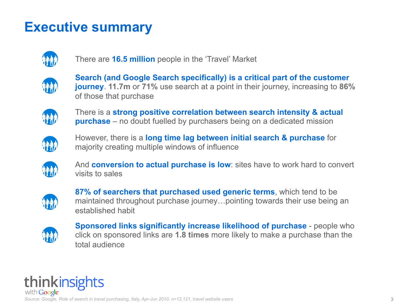# **Executive summary**



There are **16.5 million** people in the 'Travel' Market



**Search (and Google Search specifically) is a critical part of the customer journey**. **11.7m** or **71%** use search at a point in their journey, increasing to **86%** of those that purchase



There is a **strong positive correlation between search intensity & actual purchase** – no doubt fuelled by purchasers being on a dedicated mission



However, there is a **long time lag between initial search & purchase** for majority creating multiple windows of influence



And **conversion to actual purchase is low**: sites have to work hard to convert visits to sales



**87% of searchers that purchased used generic terms**, which tend to be maintained throughout purchase journey…pointing towards their use being an established habit



**Sponsored links significantly increase likelihood of purchase** - people who click on sponsored links are **1.8 times** more likely to make a purchase than the total audience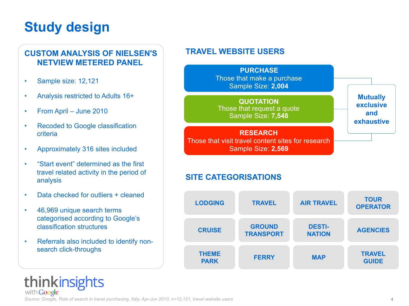# **Study design**

#### **CUSTOM ANALYSIS OF NIELSEN'S NETVIEW METERED PANEL**

- Sample size: 12,121
- Analysis restricted to Adults 16+
- From April June 2010
- Recoded to Google classification criteria
- Approximately 316 sites included
- "Start event" determined as the first travel related activity in the period of analysis
- Data checked for outliers + cleaned
- 46,969 unique search terms categorised according to Google's classification structures

thinkinsights

with Google

• Referrals also included to identify nonsearch click-throughs

#### **TRAVEL WEBSITE USERS**



#### **SITE CATEGORISATIONS**

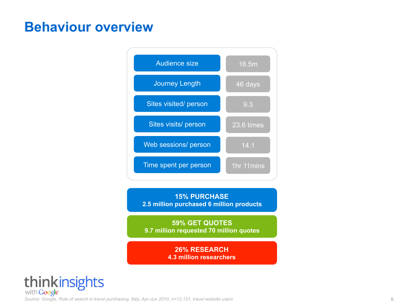## **Behaviour overview**



**15% PURCHASE 2.5 million purchased 6 million products** 

**59% GET QUOTES 9.7 million requested 70 million quotes** 

> **26% RESEARCH 4.3 million researchers**

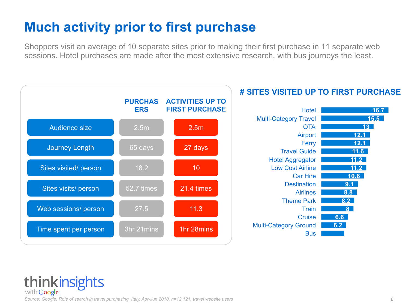# **Much activity prior to first purchase**

Shoppers visit an average of 10 separate sites prior to making their first purchase in 11 separate web sessions. Hotel purchases are made after the most extensive research, with bus journeys the least.



### thinkinsights with Google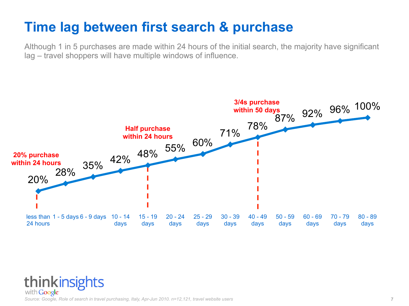# **Time lag between first search & purchase**

Although 1 in 5 purchases are made within 24 hours of the initial search, the majority have significant lag – travel shoppers will have multiple windows of influence.

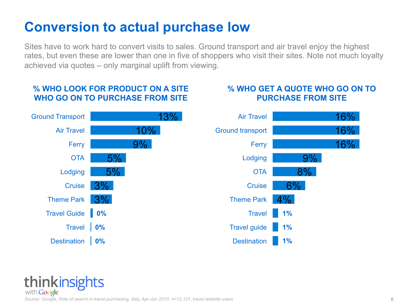# **Conversion to actual purchase low**

Sites have to work hard to convert visits to sales. Ground transport and air travel enjoy the highest rates, but even these are lower than one in five of shoppers who visit their sites. Note not much loyalty achieved via quotes – only marginal uplift from viewing.

### **% WHO LOOK FOR PRODUCT ON A SITE WHO GO ON TO PURCHASE FROM SITE**



### **% WHO GET A QUOTE WHO GO ON TO PURCHASE FROM SITE**

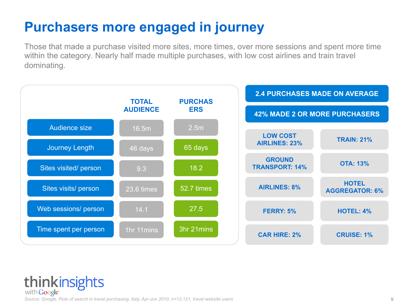# **Purchasers more engaged in journey**

Those that made a purchase visited more sites, more times, over more sessions and spent more time within the category. Nearly half made multiple purchases, with low cost airlines and train travel dominating.



*Source: Google, Role of search in travel purchasing, Italy, Apr-Jun 2010. n=12,121, travel website users* 9

thinkinsights

with Google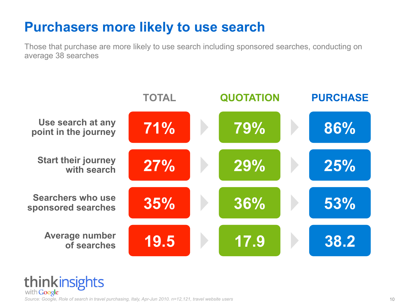# **Purchasers more likely to use search**

Those that purchase are more likely to use search including sponsored searches, conducting on average 38 searches

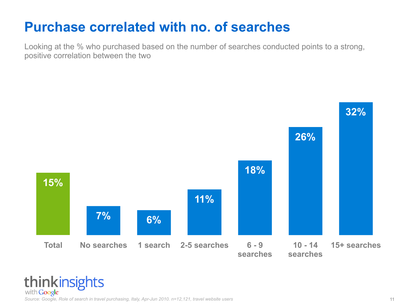# **Purchase correlated with no. of searches**

Looking at the % who purchased based on the number of searches conducted points to a strong, positive correlation between the two



thinkinsights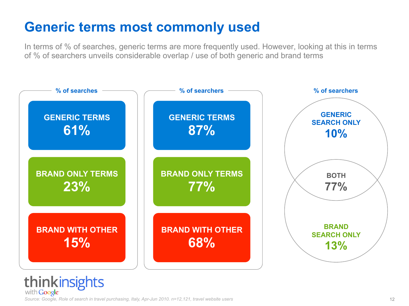# **Generic terms most commonly used**

In terms of % of searches, generic terms are more frequently used. However, looking at this in terms of % of searchers unveils considerable overlap / use of both generic and brand terms



## thinkinsights with **Google**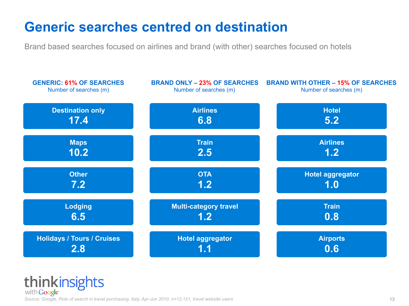## **Generic searches centred on destination**

Brand based searches focused on airlines and brand (with other) searches focused on hotels



## thinkinsights with Google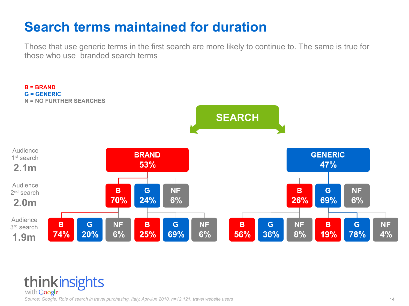# **Search terms maintained for duration**

Those that use generic terms in the first search are more likely to continue to. The same is true for those who use branded search terms



Source: Google, Role of search in travel purchasing, Italy, Apr-Jun 2010. n=12,121, travel website users 14

thinkinsights

with Google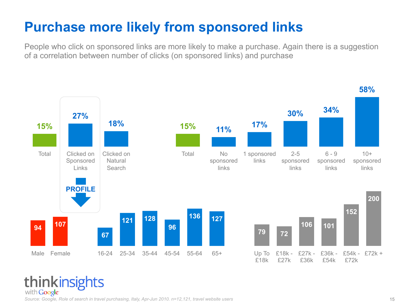# **Purchase more likely from sponsored links**

People who click on sponsored links are more likely to make a purchase. Again there is a suggestion of a correlation between number of clicks (on sponsored links) and purchase



### thinkinsights with **Google**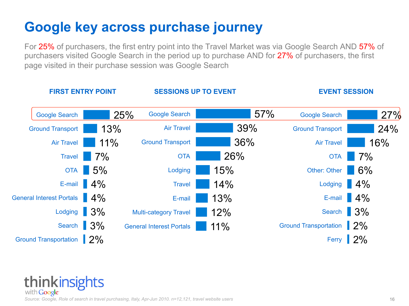# **Google key across purchase journey**

For 25% of purchasers, the first entry point into the Travel Market was via Google Search AND 57% of purchasers visited Google Search in the period up to purchase AND for 27% of purchasers, the first page visited in their purchase session was Google Search